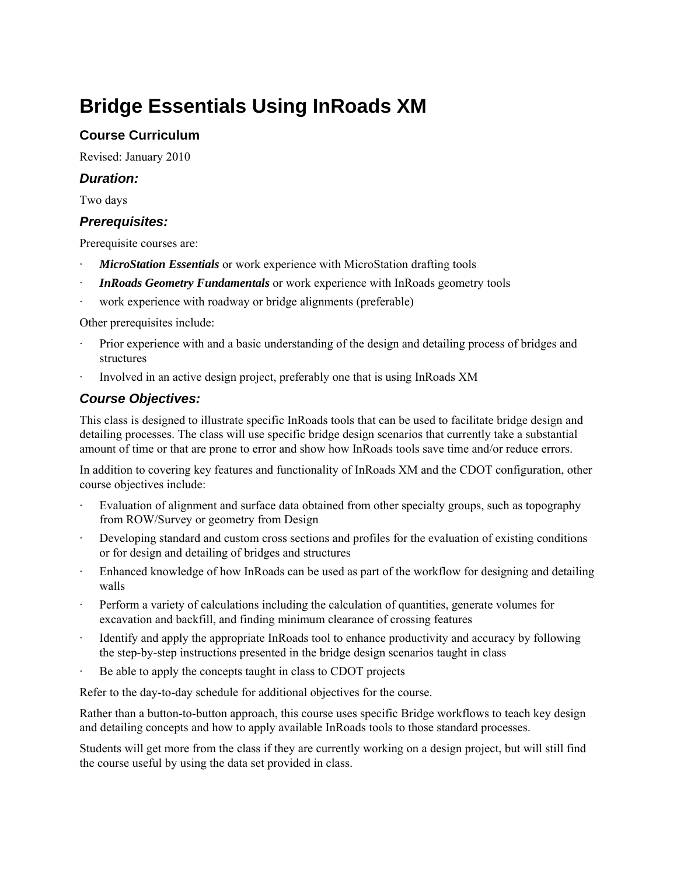# **Bridge Essentials Using InRoads XM**

## **Course Curriculum**

Revised: January 2010

## *Duration:*

Two days

## *Prerequisites:*

Prerequisite courses are:

- **MicroStation Essentials** or work experience with MicroStation drafting tools
- · *InRoads Geometry Fundamentals* or work experience with InRoads geometry tools
- work experience with roadway or bridge alignments (preferable)

Other prerequisites include:

- · Prior experience with and a basic understanding of the design and detailing process of bridges and structures
- · Involved in an active design project, preferably one that is using InRoads XM

## *Course Objectives:*

This class is designed to illustrate specific InRoads tools that can be used to facilitate bridge design and detailing processes. The class will use specific bridge design scenarios that currently take a substantial amount of time or that are prone to error and show how InRoads tools save time and/or reduce errors.

In addition to covering key features and functionality of InRoads XM and the CDOT configuration, other course objectives include:

- Evaluation of alignment and surface data obtained from other specialty groups, such as topography from ROW/Survey or geometry from Design
- Developing standard and custom cross sections and profiles for the evaluation of existing conditions or for design and detailing of bridges and structures
- Enhanced knowledge of how InRoads can be used as part of the workflow for designing and detailing walls
- · Perform a variety of calculations including the calculation of quantities, generate volumes for excavation and backfill, and finding minimum clearance of crossing features
- Identify and apply the appropriate InRoads tool to enhance productivity and accuracy by following the step-by-step instructions presented in the bridge design scenarios taught in class
- Be able to apply the concepts taught in class to CDOT projects

Refer to the day-to-day schedule for additional objectives for the course.

Rather than a button-to-button approach, this course uses specific Bridge workflows to teach key design and detailing concepts and how to apply available InRoads tools to those standard processes.

Students will get more from the class if they are currently working on a design project, but will still find the course useful by using the data set provided in class.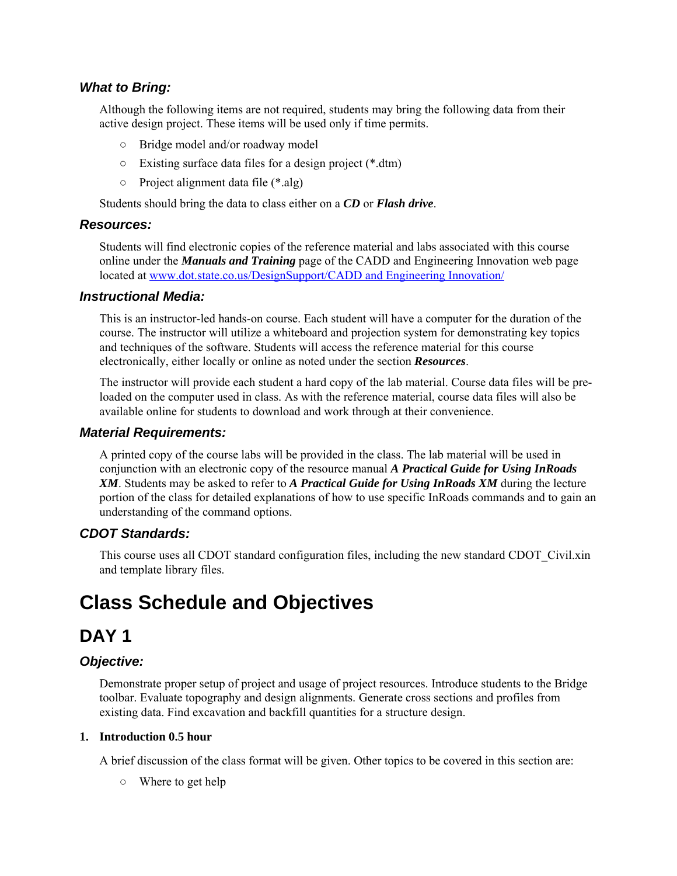## *What to Bring:*

Although the following items are not required, students may bring the following data from their active design project. These items will be used only if time permits.

- Bridge model and/or roadway model
- Existing surface data files for a design project (\*.dtm)
- Project alignment data file (\*.alg)

Students should bring the data to class either on a *CD* or *Flash drive*.

## *Resources:*

Students will find electronic copies of the reference material and labs associated with this course online under the *Manuals and Training* page of the CADD and Engineering Innovation web page located at www.dot.state.co.us/DesignSupport/CADD and Engineering Innovation/

## *Instructional Media:*

This is an instructor-led hands-on course. Each student will have a computer for the duration of the course. The instructor will utilize a whiteboard and projection system for demonstrating key topics and techniques of the software. Students will access the reference material for this course electronically, either locally or online as noted under the section *Resources*.

The instructor will provide each student a hard copy of the lab material. Course data files will be preloaded on the computer used in class. As with the reference material, course data files will also be available online for students to download and work through at their convenience.

## *Material Requirements:*

A printed copy of the course labs will be provided in the class. The lab material will be used in conjunction with an electronic copy of the resource manual *A Practical Guide for Using InRoads XM*. Students may be asked to refer to *A Practical Guide for Using InRoads XM* during the lecture portion of the class for detailed explanations of how to use specific InRoads commands and to gain an understanding of the command options.

## *CDOT Standards:*

This course uses all CDOT standard configuration files, including the new standard CDOT\_Civil.xin and template library files.

# **Class Schedule and Objectives**

## **DAY 1**

## *Objective:*

Demonstrate proper setup of project and usage of project resources. Introduce students to the Bridge toolbar. Evaluate topography and design alignments. Generate cross sections and profiles from existing data. Find excavation and backfill quantities for a structure design.

#### **1. Introduction 0.5 hour**

A brief discussion of the class format will be given. Other topics to be covered in this section are:

○ Where to get help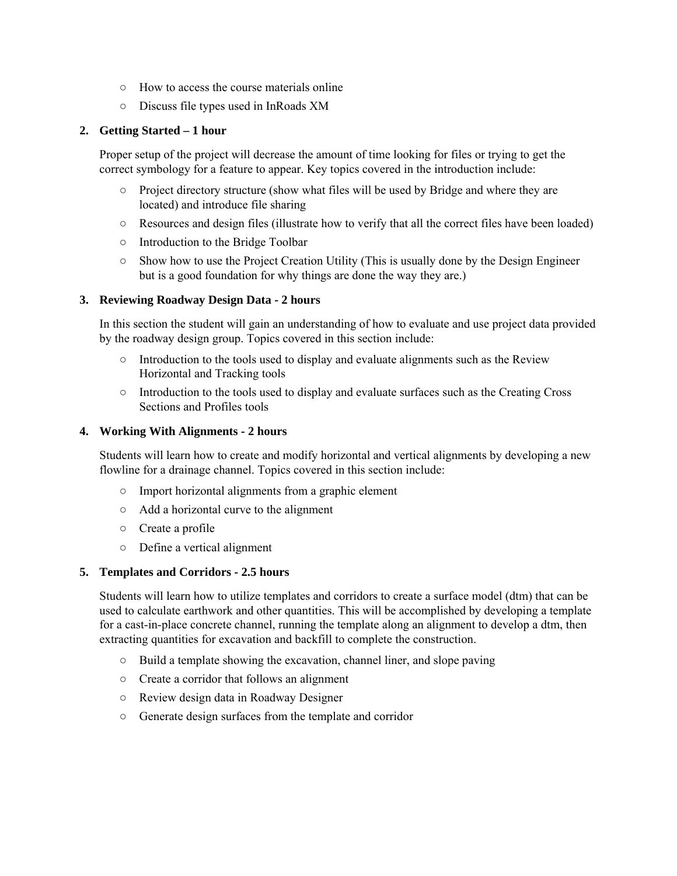- How to access the course materials online
- Discuss file types used in InRoads XM

#### **2. Getting Started – 1 hour**

Proper setup of the project will decrease the amount of time looking for files or trying to get the correct symbology for a feature to appear. Key topics covered in the introduction include:

- Project directory structure (show what files will be used by Bridge and where they are located) and introduce file sharing
- Resources and design files (illustrate how to verify that all the correct files have been loaded)
- Introduction to the Bridge Toolbar
- Show how to use the Project Creation Utility (This is usually done by the Design Engineer but is a good foundation for why things are done the way they are.)

#### **3. Reviewing Roadway Design Data - 2 hours**

In this section the student will gain an understanding of how to evaluate and use project data provided by the roadway design group. Topics covered in this section include:

- Introduction to the tools used to display and evaluate alignments such as the Review Horizontal and Tracking tools
- Introduction to the tools used to display and evaluate surfaces such as the Creating Cross Sections and Profiles tools

#### **4. Working With Alignments - 2 hours**

Students will learn how to create and modify horizontal and vertical alignments by developing a new flowline for a drainage channel. Topics covered in this section include:

- Import horizontal alignments from a graphic element
- Add a horizontal curve to the alignment
- Create a profile
- Define a vertical alignment

## **5. Templates and Corridors - 2.5 hours**

Students will learn how to utilize templates and corridors to create a surface model (dtm) that can be used to calculate earthwork and other quantities. This will be accomplished by developing a template for a cast-in-place concrete channel, running the template along an alignment to develop a dtm, then extracting quantities for excavation and backfill to complete the construction.

- Build a template showing the excavation, channel liner, and slope paving
- Create a corridor that follows an alignment
- Review design data in Roadway Designer
- Generate design surfaces from the template and corridor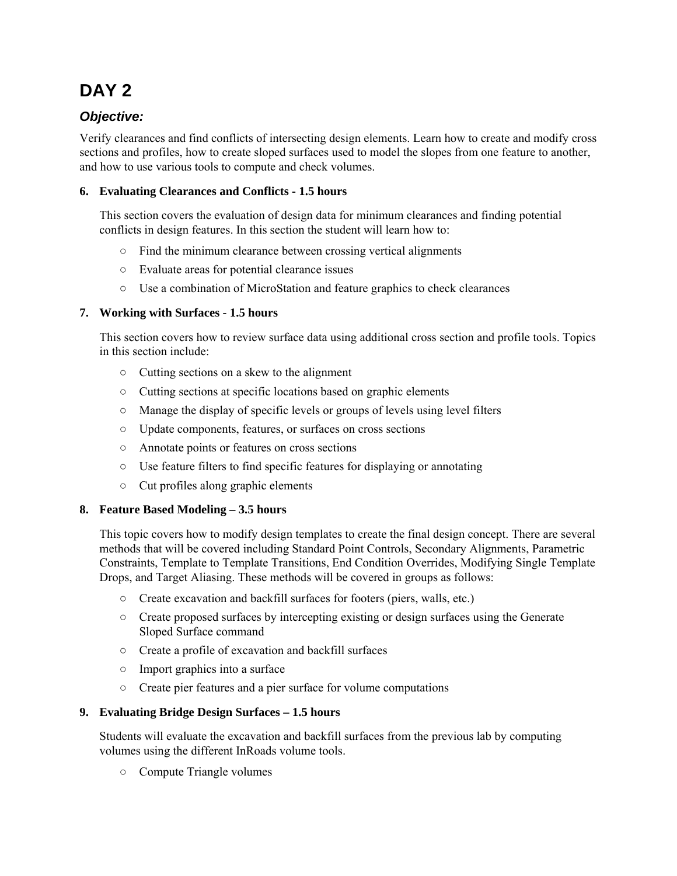# **DAY 2**

## *Objective:*

Verify clearances and find conflicts of intersecting design elements. Learn how to create and modify cross sections and profiles, how to create sloped surfaces used to model the slopes from one feature to another, and how to use various tools to compute and check volumes.

## **6. Evaluating Clearances and Conflicts - 1.5 hours**

This section covers the evaluation of design data for minimum clearances and finding potential conflicts in design features. In this section the student will learn how to:

- Find the minimum clearance between crossing vertical alignments
- Evaluate areas for potential clearance issues
- Use a combination of MicroStation and feature graphics to check clearances

## **7. Working with Surfaces - 1.5 hours**

This section covers how to review surface data using additional cross section and profile tools. Topics in this section include:

- Cutting sections on a skew to the alignment
- Cutting sections at specific locations based on graphic elements
- Manage the display of specific levels or groups of levels using level filters
- Update components, features, or surfaces on cross sections
- Annotate points or features on cross sections
- Use feature filters to find specific features for displaying or annotating
- Cut profiles along graphic elements

## **8. Feature Based Modeling – 3.5 hours**

This topic covers how to modify design templates to create the final design concept. There are several methods that will be covered including Standard Point Controls, Secondary Alignments, Parametric Constraints, Template to Template Transitions, End Condition Overrides, Modifying Single Template Drops, and Target Aliasing. These methods will be covered in groups as follows:

- Create excavation and backfill surfaces for footers (piers, walls, etc.)
- Create proposed surfaces by intercepting existing or design surfaces using the Generate Sloped Surface command
- Create a profile of excavation and backfill surfaces
- Import graphics into a surface
- Create pier features and a pier surface for volume computations

## **9. Evaluating Bridge Design Surfaces – 1.5 hours**

Students will evaluate the excavation and backfill surfaces from the previous lab by computing volumes using the different InRoads volume tools.

○ Compute Triangle volumes